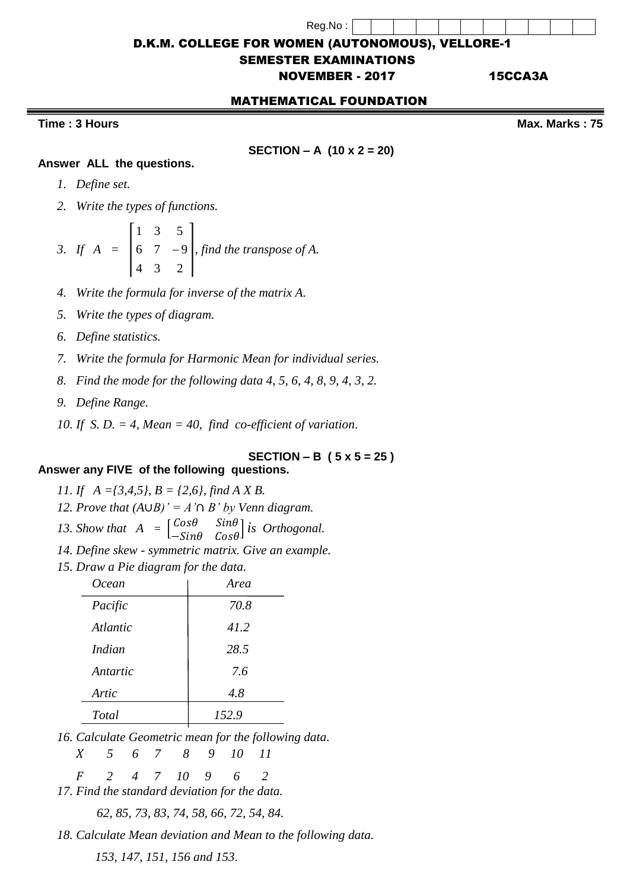Reg.No :

D.K.M. COLLEGE FOR WOMEN (AUTONOMOUS), VELLORE-1

## SEMESTER EXAMINATIONS

# NOVEMBER - 2017 15CCA3A

### MATHEMATICAL FOUNDATION

## **Time : 3 Hours Community Community Community Community Community Community Community Community Community Community Community Community Community Community Community Community Community Community Community Community Commun**

**SECTION – A (10 x 2 = 20)**

## **Answer ALL the questions.**

- *1. Define set.*
- *2. Write the types of functions.*

3. If 
$$
A = \begin{bmatrix} 1 & 3 & 5 \\ 6 & 7 & -9 \\ 4 & 3 & 2 \end{bmatrix}
$$
, find the transpose of A.

- *4. Write the formula for inverse of the matrix A.*
- *5. Write the types of diagram.*
- *6. Define statistics.*
- *7. Write the formula for Harmonic Mean for individual series.*
- *8. Find the mode for the following data 4, 5, 6, 4, 8, 9, 4, 3, 2.*
- *9. Define Range.*
- *10. If S. D. = 4, Mean = 40, find co-efficient of variation*.

### **SECTION – B ( 5 x 5 = 25 )**

### **Answer any FIVE of the following questions.**

- *11. If A ={3,4,5}, B = {2,6}, find A X B.*
- *12. Prove that*  $(A \cup B)' = A' \cap B'$  *by Venn diagram.*<br>*13. Show that*  $A = \begin{bmatrix} \cos \theta & \sin \theta \end{bmatrix}$  *is Orthogonia*
- *13. Show that A =*   $Cos\theta$   $Sin\theta$ − *is Orthogonal.*
- *14. Define skew - symmetric matrix. Give an example.*
- *15. Draw a Pie diagram for the data.*

| Ocean           | Area  |
|-----------------|-------|
| Pacific         | 70.8  |
| <i>Atlantic</i> | 41.2  |
| Indian          | 28.5  |
| Antartic        | 7.6   |
| Artic           | 4.8   |
| Total           | 152.9 |
|                 |       |

*16. Calculate Geometric mean for the following data.*

 *5 6 7 8 9 10 11*

 *2 4 7 10 9 6 2*

*17. Find the standard deviation for the data.*

*62, 85, 73, 83, 74, 58, 66, 72, 54, 84.*

*18. Calculate Mean deviation and Mean to the following data.*

 *153, 147, 151, 156 and 153*.